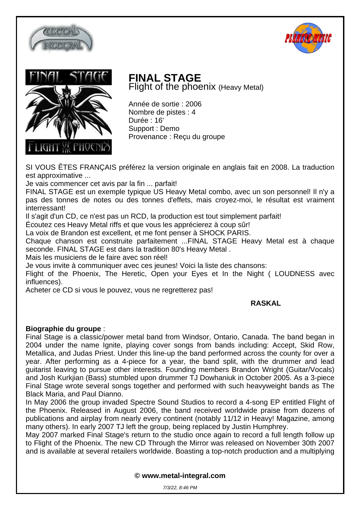





## **FINAL STAGE** Flight of the phoenix (Heavy Metal)

Année de sortie : 2006 Nombre de pistes : 4 Durée : 16' Support : Demo Provenance : Reçu du groupe

SI VOUS ÊTES FRANÇAIS préférez la version originale en anglais fait en 2008. La traduction est approximative ...

Je vais commencer cet avis par la fin ... parfait!

FINAL STAGE est un exemple typique US Heavy Metal combo, avec un son personnel! Il n'y a pas des tonnes de notes ou des tonnes d'effets, mais croyez-moi, le résultat est vraiment interressant!

Il s'agit d'un CD, ce n'est pas un RCD, la production est tout simplement parfait!

Écoutez ces Heavy Metal riffs et que vous les apprécierez à coup sûr!

La voix de Brandon est excellent, et me font penser à SHOCK PARIS.

Chaque chanson est construite parfaitement ...FINAL STAGE Heavy Metal est à chaque seconde. FINAL STAGE est dans la tradition 80's Heavy Metal .

Mais les musiciens de le faire avec son réel!

Je vous invite à communiquer avec ces jeunes! Voici la liste des chansons:

Flight of the Phoenix, The Heretic, Open your Eyes et In the Night ( LOUDNESS avec influences).

Acheter ce CD si vous le pouvez, vous ne regretterez pas!

## **RASKAL**

## **Biographie du groupe** :

Final Stage is a classic/power metal band from Windsor, Ontario, Canada. The band began in 2004 under the name Ignite, playing cover songs from bands including: Accept, Skid Row, Metallica, and Judas Priest. Under this line-up the band performed across the county for over a year. After performing as a 4-piece for a year, the band split, with the drummer and lead guitarist leaving to pursue other interests. Founding members Brandon Wright (Guitar/Vocals) and Josh Kurkjian (Bass) stumbled upon drummer TJ Dowhaniuk in October 2005. As a 3-piece Final Stage wrote several songs together and performed with such heavyweight bands as The Black Maria, and Paul Dianno.

In May 2006 the group invaded Spectre Sound Studios to record a 4-song EP entitled Flight of the Phoenix. Released in August 2006, the band received worldwide praise from dozens of publications and airplay from nearly every continent (notably 11/12 in Heavy! Magazine, among many others). In early 2007 TJ left the group, being replaced by Justin Humphrey.

May 2007 marked Final Stage's return to the studio once again to record a full length follow up to Flight of the Phoenix. The new CD Through the Mirror was released on November 30th 2007 and is available at several retailers worldwide. Boasting a top-notch production and a multiplying

**© www.metal-integral.com**

7/3/22, 8:46 PM